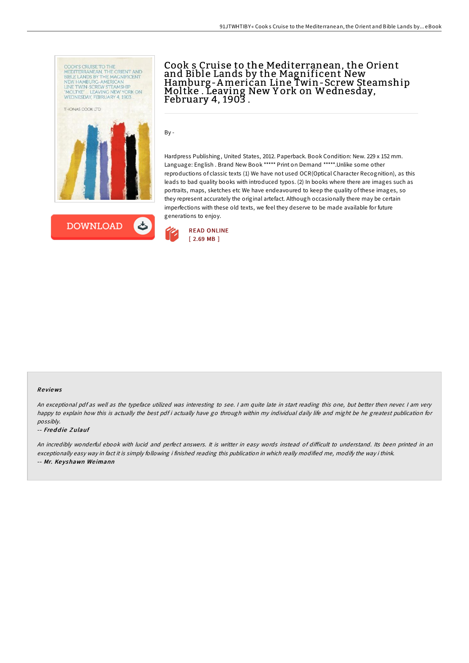



# Cook s Cruise to the Mediterranean, the Orient and Bible Lands by the Magnificent New Hamburg-American Line Twin-Screw Steamship<br>Moltke . Leaving New York on Wednesday, February 4, 1903 .

By -

Hardpress Publishing, United States, 2012. Paperback. Book Condition: New. 229 x 152 mm. Language: English . Brand New Book \*\*\*\*\* Print on Demand \*\*\*\*\*.Unlike some other reproductions of classic texts (1) We have not used OCR(Optical Character Recognition), as this leads to bad quality books with introduced typos. (2) In books where there are images such as portraits, maps, sketches etc We have endeavoured to keep the quality of these images, so they represent accurately the original artefact. Although occasionally there may be certain imperfections with these old texts, we feel they deserve to be made available for future generations to enjoy.



#### Re views

An exceptional pdf as well as the typeface utilized was interesting to see. I am quite late in start reading this one, but better then never. I am very happy to explain how this is actually the best pdf i actually have go through within my individual daily life and might be he greatest publication for possibly.

#### -- Freddie Zulauf

An incredibly wonderful ebook with lucid and perfect answers. It is writter in easy words instead of difficult to understand. Its been printed in an exceptionally easy way in fact it is simply following i finished reading this publication in which really modified me, modify the way i think. -- Mr. Ke yshawn We imann